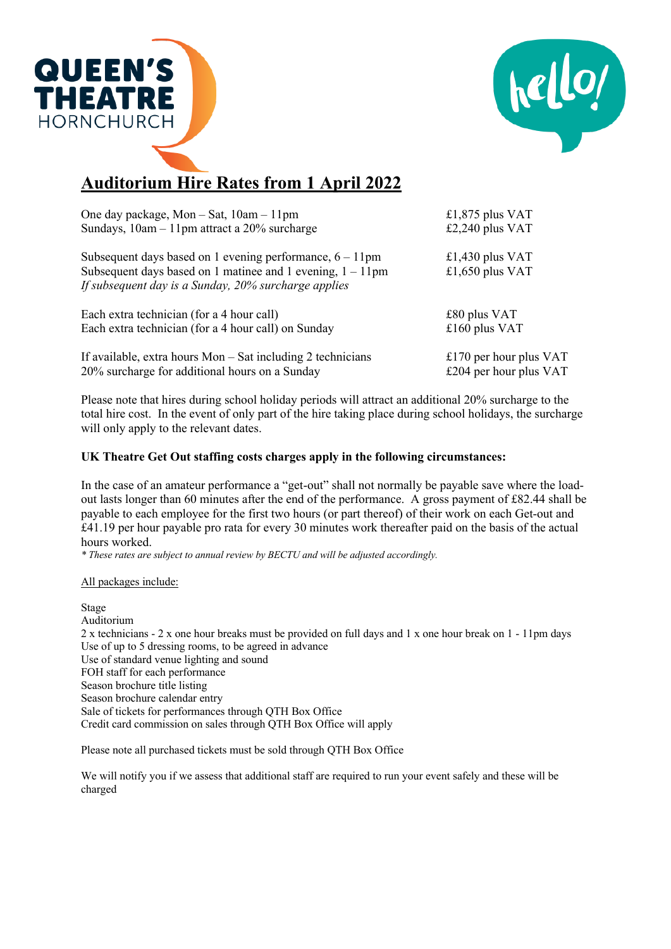



## **Auditorium Hire Rates from 1 April 2022**

| One day package, Mon $-$ Sat, $10am - 11pm$                                                                           | £1,875 plus VAT          |
|-----------------------------------------------------------------------------------------------------------------------|--------------------------|
| Sundays, $10am - 11pm$ attract a $20\%$ surcharge                                                                     | £2,240 plus VAT          |
| Subsequent days based on 1 evening performance, $6 - 11$ pm                                                           | £1,430 plus $VAT$        |
| Subsequent days based on 1 matinee and 1 evening, $1 - 11$ pm<br>If subsequent day is a Sunday, 20% surcharge applies | £1,650 plus VAT          |
| Each extra technician (for a 4 hour call)                                                                             | $£80$ plus VAT           |
| Each extra technician (for a 4 hour call) on Sunday                                                                   | £160 plus VAT            |
| If available, extra hours $Mon - Sat$ including 2 technicians                                                         | £170 per hour plus $VAT$ |
| 20% surcharge for additional hours on a Sunday                                                                        | £204 per hour plus $VAT$ |

Please note that hires during school holiday periods will attract an additional 20% surcharge to the total hire cost. In the event of only part of the hire taking place during school holidays, the surcharge will only apply to the relevant dates.

## **UK Theatre Get Out staffing costs charges apply in the following circumstances:**

In the case of an amateur performance a "get-out" shall not normally be payable save where the loadout lasts longer than 60 minutes after the end of the performance. A gross payment of £82.44 shall be payable to each employee for the first two hours (or part thereof) of their work on each Get-out and £41.19 per hour payable pro rata for every 30 minutes work thereafter paid on the basis of the actual hours worked.

*\* These rates are subject to annual review by BECTU and will be adjusted accordingly.*

All packages include:

Stage Auditorium 2 x technicians - 2 x one hour breaks must be provided on full days and 1 x one hour break on 1 - 11pm days Use of up to 5 dressing rooms, to be agreed in advance Use of standard venue lighting and sound FOH staff for each performance Season brochure title listing Season brochure calendar entry Sale of tickets for performances through QTH Box Office Credit card commission on sales through QTH Box Office will apply

Please note all purchased tickets must be sold through QTH Box Office

We will notify you if we assess that additional staff are required to run your event safely and these will be charged